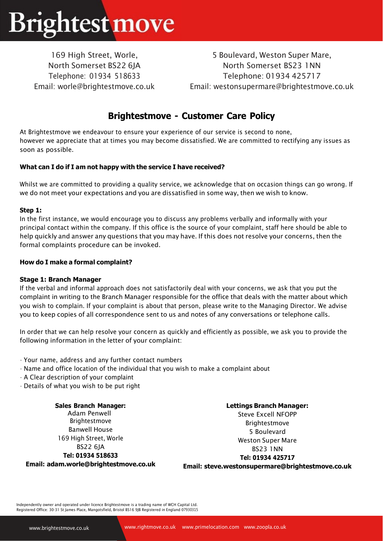# **Brightest move**

169 High Street, Worle, North Somerset BS22 6JA Telephone: 01934 518633 Email: [worle@brightestmove.co.uk](mailto:worle@brightestmove.co.uk)

5 Boulevard, Weston Super Mare, North Somerset BS23 1NN Telephone: 01934 425717 Email: [westonsupermare@brightestmove.co.uk](mailto:westonsupermare@brightestmove.co.uk)

## **Brightestmove - Customer Care Policy**

At Brightestmove we endeavour to ensure your experience of our service is second to none, however we appreciate that at times you may become dissatisfied. We are committed to rectifying any issues as soon as possible.

### **What can I do if I am not happy with the service I have received?**

Whilst we are committed to providing a quality service, we acknowledge that on occasion things can go wrong. If we do not meet your expectations and you are dissatisfied in some way, then we wish to know.

### **Step 1:**

In the first instance, we would encourage you to discuss any problems verbally and informally with your principal contact within the company. If this office is the source of your complaint, staff here should be able to help quickly and answer any questions that you may have. If this does not resolve your concerns, then the formal complaints procedure can be invoked.

### **How do I make a formal complaint?**

### **Stage 1: Branch Manager**

If the verbal and informal approach does not satisfactorily deal with your concerns, we ask that you put the complaint in writing to the Branch Manager responsible for the office that deals with the matter about which you wish to complain. If your complaint is about that person, please write to the Managing Director. We advise you to keep copies of all correspondence sent to us and notes of any conversations or telephone calls.

In order that we can help resolve your concern as quickly and efficiently as possible, we ask you to provide the following information in the letter of your complaint:

- Your name, address and any further contact numbers
- Name and office location of the individual that you wish to make a complaint about
- A Clear description of your complaint
- Details of what you wish to be put right

**Sales Branch Manager:** Adam Penwell Brightestmove Banwell House 169 High Street, Worle BS22 6JA **Tel: 01934 518633 Email: [adam.worle@brightestmove.co.uk](mailto:wayne.worle@brightestmove.co.uk)** **Lettings Branch Manager:** 

Steve Excell NFOPP Brightestmove 5 Boulevard Weston Super Mare BS23 1NN **Tel: 01934 425717**

**Email: [steve.westonsupermare@brightestmove.co.uk](mailto:steve.westonsupermare@brightestmove.co.uk)**

Independently owner and operated under licence Brightestmove is a trading name of WCH Capital Ltd. Registered Office: 30-31 St James Place, Mangotsfield, Bristol BS16 9JB Registered in England 07930315